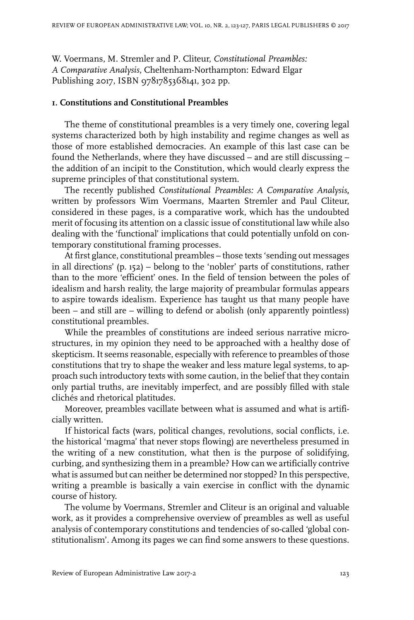W. Voermans, M. Stremler and P. Cliteur, *Constitutional Preambles: A Comparative Analysis*, Cheltenham-Northampton: Edward Elgar Publishing 2017, ISBN 9781785368141, 302 pp.

## **1. Constitutions and Constitutional Preambles**

The theme of constitutional preambles is a very timely one, covering legal systems characterized both by high instability and regime changes as well as those of more established democracies. An example of this last case can be found the Netherlands, where they have discussed – and are still discussing – the addition of an incipit to the Constitution, which would clearly express the supreme principles of that constitutional system.

The recently published *Constitutional Preambles: A Comparative Analysis***,** written by professors Wim Voermans, Maarten Stremler and Paul Cliteur, considered in these pages, is a comparative work, which has the undoubted merit of focusing its attention on a classic issue of constitutional law while also dealing with the 'functional' implications that could potentially unfold on contemporary constitutional framing processes.

At first glance, constitutional preambles – those texts 'sending out messages in all directions' (p. 152) – belong to the 'nobler' parts of constitutions, rather than to the more 'efficient' ones. In the field of tension between the poles of idealism and harsh reality, the large majority of preambular formulas appears to aspire towards idealism. Experience has taught us that many people have been – and still are – willing to defend or abolish (only apparently pointless) constitutional preambles.

While the preambles of constitutions are indeed serious narrative microstructures, in my opinion they need to be approached with a healthy dose of skepticism. It seems reasonable, especially with reference to preambles of those constitutions that try to shape the weaker and less mature legal systems, to approach such introductory texts with some caution, in the belief that they contain only partial truths, are inevitably imperfect, and are possibly filled with stale clichés and rhetorical platitudes.

Moreover, preambles vacillate between what is assumed and what is artificially written.

If historical facts (wars, political changes, revolutions, social conflicts, i.e. the historical 'magma' that never stops flowing) are nevertheless presumed in the writing of a new constitution, what then is the purpose of solidifying, curbing, and synthesizing them in a preamble? How can we artificially contrive what is assumed but can neither be determined nor stopped? In this perspective, writing a preamble is basically a vain exercise in conflict with the dynamic course of history.

The volume by Voermans, Stremler and Cliteur is an original and valuable work, as it provides a comprehensive overview of preambles as well as useful analysis of contemporary constitutions and tendencies of so-called 'global constitutionalism'. Among its pages we can find some answers to these questions.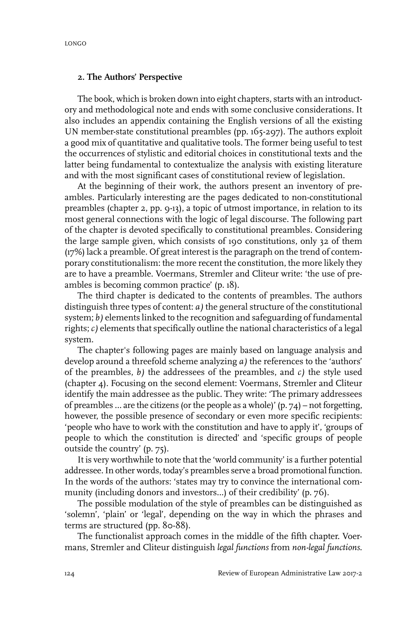## **2. The Authors' Perspective**

The book, which is broken down into eight chapters, starts with an introductory and methodological note and ends with some conclusive considerations. It also includes an appendix containing the English versions of all the existing UN member-state constitutional preambles (pp. 165-297). The authors exploit a good mix of quantitative and qualitative tools. The former being useful to test the occurrences of stylistic and editorial choices in constitutional texts and the latter being fundamental to contextualize the analysis with existing literature and with the most significant cases of constitutional review of legislation.

At the beginning of their work, the authors present an inventory of preambles. Particularly interesting are the pages dedicated to non-constitutional preambles (chapter 2, pp. 9-13), a topic of utmost importance, in relation to its most general connections with the logic of legal discourse. The following part of the chapter is devoted specifically to constitutional preambles. Considering the large sample given, which consists of 190 constitutions, only 32 of them (17%) lack a preamble. Of great interest is the paragraph on the trend of contemporary constitutionalism: the more recent the constitution, the more likely they are to have a preamble. Voermans, Stremler and Cliteur write: 'the use of preambles is becoming common practice' (p. 18).

The third chapter is dedicated to the contents of preambles. The authors distinguish three types of content: *a)* the general structure of the constitutional system; *b*) elements linked to the recognition and safeguarding of fundamental rights; *c)* elements that specifically outline the national characteristics of a legal system.

The chapter's following pages are mainly based on language analysis and develop around a threefold scheme analyzing *a)* the references to the 'authors' of the preambles, *b)* the addressees of the preambles, and *c)* the style used (chapter 4). Focusing on the second element: Voermans, Stremler and Cliteur identify the main addressee as the public. They write: 'The primary addressees of preambles ... are the citizens (or the people as a whole)'  $(p. 74)$  – not forgetting, however, the possible presence of secondary or even more specific recipients: 'people who have to work with the constitution and have to apply it', 'groups of people to which the constitution is directed' and 'specific groups of people outside the country' (p. 75).

It is very worthwhile to note that the 'world community' is a further potential addressee.In other words, today's preambles serve a broad promotional function. In the words of the authors: 'states may try to convince the international community (including donors and investors…) of their credibility' (p. 76).

The possible modulation of the style of preambles can be distinguished as 'solemn', 'plain' or 'legal', depending on the way in which the phrases and terms are structured (pp. 80-88).

The functionalist approach comes in the middle of the fifth chapter. Voermans, Stremler and Cliteur distinguish *legal functions* from *non-legal functions*.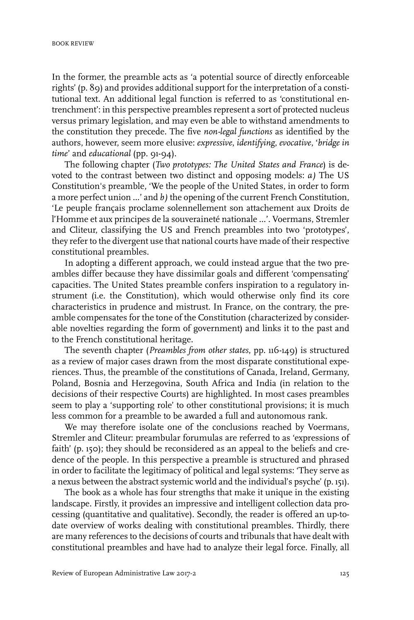In the former, the preamble acts as 'a potential source of directly enforceable rights' (p. 89) and provides additional support for the interpretation of a constitutional text. An additional legal function is referred to as 'constitutional entrenchment': in this perspective preambles represent a sort of protected nucleus versus primary legislation, and may even be able to withstand amendments to the constitution they precede. The five *non-legal functions* as identified by the authors, however, seem more elusive: *expressive*, *identifying*, *evocative*, '*bridge in time*' and *educational* (pp. 91-94).

The following chapter (*Two prototypes: The United States and France*) is devoted to the contrast between two distinct and opposing models: *a)* The US Constitution's preamble, 'We the people of the United States, in order to form a more perfect union ...' and *b)* the opening of the current French Constitution, 'Le peuple français proclame solennellement son attachement aux Droits de l'Homme et aux principes de la souveraineté nationale ...'. Voermans, Stremler and Cliteur, classifying the US and French preambles into two 'prototypes', they refer to the divergent use that national courts have made of their respective constitutional preambles.

In adopting a different approach, we could instead argue that the two preambles differ because they have dissimilar goals and different 'compensating' capacities. The United States preamble confers inspiration to a regulatory instrument (i.e. the Constitution), which would otherwise only find its core characteristics in prudence and mistrust. In France, on the contrary, the preamble compensates for the tone of the Constitution (characterized by considerable novelties regarding the form of government) and links it to the past and to the French constitutional heritage.

The seventh chapter (*Preambles from other states*, pp. 116-149) is structured as a review of major cases drawn from the most disparate constitutional experiences. Thus, the preamble of the constitutions of Canada, Ireland, Germany, Poland, Bosnia and Herzegovina, South Africa and India (in relation to the decisions of their respective Courts) are highlighted. In most cases preambles seem to play a 'supporting role' to other constitutional provisions; it is much less common for a preamble to be awarded a full and autonomous rank.

We may therefore isolate one of the conclusions reached by Voermans, Stremler and Cliteur: preambular forumulas are referred to as 'expressions of faith' (p. 150); they should be reconsidered as an appeal to the beliefs and credence of the people. In this perspective a preamble is structured and phrased in order to facilitate the legitimacy of political and legal systems: 'They serve as a nexus between the abstract systemic world and the individual's psyche' (p. 151).

The book as a whole has four strengths that make it unique in the existing landscape. Firstly, it provides an impressive and intelligent collection data processing (quantitative and qualitative). Secondly, the reader is offered an up-todate overview of works dealing with constitutional preambles. Thirdly, there are many references to the decisions of courts and tribunals that have dealt with constitutional preambles and have had to analyze their legal force. Finally, all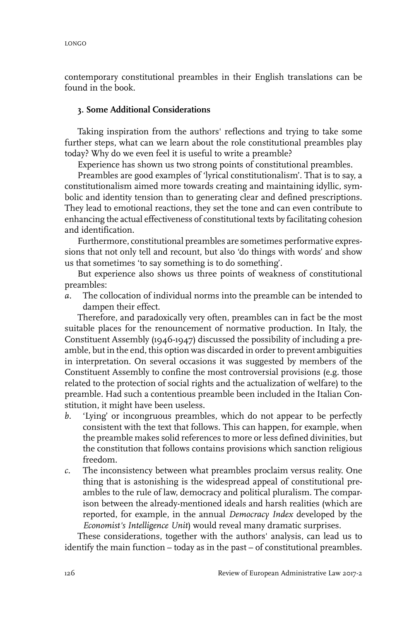contemporary constitutional preambles in their English translations can be found in the book.

## **3. Some Additional Considerations**

Taking inspiration from the authors' reflections and trying to take some further steps, what can we learn about the role constitutional preambles play today? Why do we even feel it is useful to write a preamble?

Experience has shown us two strong points of constitutional preambles.

Preambles are good examples of 'lyrical constitutionalism'. That is to say, a constitutionalism aimed more towards creating and maintaining idyllic, symbolic and identity tension than to generating clear and defined prescriptions. They lead to emotional reactions, they set the tone and can even contribute to enhancing the actual effectiveness of constitutional texts by facilitating cohesion and identification.

Furthermore, constitutional preambles are sometimes performative expressions that not only tell and recount, but also 'do things with words' and show us that sometimes 'to say something is to do something'.

But experience also shows us three points of weakness of constitutional preambles:

*a.* The collocation of individual norms into the preamble can be intended to dampen their effect.

Therefore, and paradoxically very often, preambles can in fact be the most suitable places for the renouncement of normative production. In Italy, the Constituent Assembly (1946-1947) discussed the possibility of including a preamble, but in the end, this option was discarded in order to prevent ambiguities in interpretation. On several occasions it was suggested by members of the Constituent Assembly to confine the most controversial provisions (e.g. those related to the protection of social rights and the actualization of welfare) to the preamble*.* Had such a contentious preamble been included in the Italian Constitution, it might have been useless.

- *b.* 'Lying' or incongruous preambles, which do not appear to be perfectly consistent with the text that follows. This can happen, for example, when the preamble makes solid references to more or less defined divinities, but the constitution that follows contains provisions which sanction religious freedom.
- *c.* The inconsistency between what preambles proclaim versus reality. One thing that is astonishing is the widespread appeal of constitutional preambles to the rule of law, democracy and political pluralism. The comparison between the already-mentioned ideals and harsh realities (which are reported, for example, in the annual *Democracy Index* developed by the *Economist's Intelligence Unit*) would reveal many dramatic surprises.

These considerations, together with the authors' analysis, can lead us to identify the main function – today as in the past – of constitutional preambles.